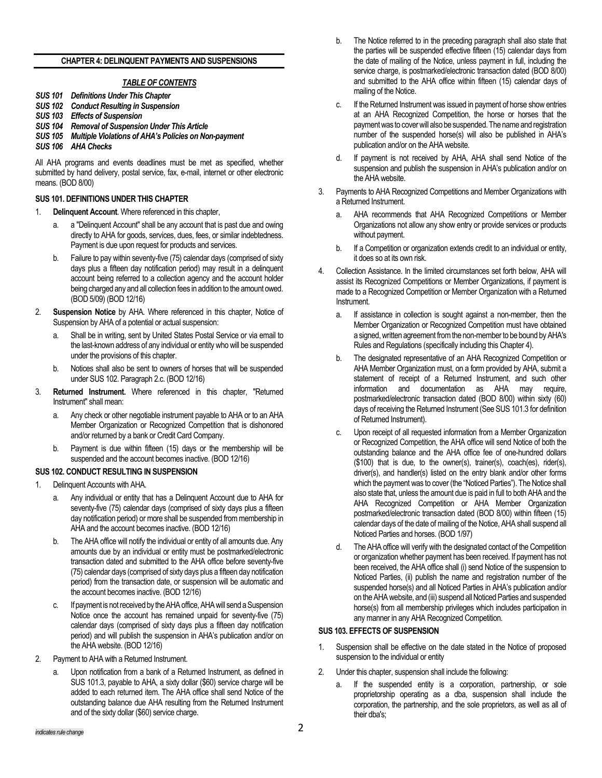# **CHAPTER 4: DELINQUENT PAYMENTS AND SUSPENSIONS**

# *TABLE OF CONTENTS*

- *SUS 101 Definitions Under This Chapter*
- *SUS 102 Conduct Resulting in Suspension*
- *SUS 103 Effects of Suspension*
- *SUS 104 Removal of Suspension Under This Article*
- *SUS 105 Multiple Violations of AHA's Policies on Non-payment*
- *SUS 106 AHA Checks*

All AHA programs and events deadlines must be met as specified, whether submitted by hand delivery, postal service, fax, e-mail, internet or other electronic means. (BOD 8/00)

# **SUS 101. DEFINITIONS UNDER THIS CHAPTER**

- 1. **Delinquent Account**. Where referenced in this chapter,
	- a "Delinquent Account" shall be any account that is past due and owing directly to AHA for goods, services, dues, fees, or similar indebtedness. Payment is due upon request for products and services.
	- b. Failure to pay within seventy-five (75) calendar days (comprised of sixty days plus a fifteen day notification period) may result in a delinquent account being referred to a collection agency and the account holder being charged any and all collection fees in addition to the amount owed. (BOD 5/09) (BOD 12/16)
- 2. **Suspension Notice** by AHA. Where referenced in this chapter, Notice of Suspension by AHA of a potential or actual suspension:
	- a. Shall be in writing, sent by United States Postal Service or via email to the last-known address of any individual or entity who will be suspended under the provisions of this chapter.
	- b. Notices shall also be sent to owners of horses that will be suspended under SUS 102. Paragraph 2.c. (BOD 12/16)
- 3. **Returned Instrument.** Where referenced in this chapter, "Returned Instrument" shall mean:
	- a. Any check or other negotiable instrument payable to AHA or to an AHA Member Organization or Recognized Competition that is dishonored and/or returned by a bank or Credit Card Company.
	- Payment is due within fifteen (15) days or the membership will be suspended and the account becomes inactive. (BOD 12/16)

# **SUS 102. CONDUCT RESULTING IN SUSPENSION**

- 1. Delinquent Accounts with AHA.
	- a. Any individual or entity that has a Delinquent Account due to AHA for seventy-five (75) calendar days (comprised of sixty days plus a fifteen day notification period) or more shall be suspended from membership in AHA and the account becomes inactive. (BOD 12/16)
	- b. The AHA office will notify the individual or entity of all amounts due. Any amounts due by an individual or entity must be postmarked/electronic transaction dated and submitted to the AHA office before seventy-five (75) calendar days (comprised of sixty days plus a fifteen day notification period) from the transaction date, or suspension will be automatic and the account becomes inactive. (BOD 12/16)
	- c. If payment is not received by the AHA office, AHA will send a Suspension Notice once the account has remained unpaid for seventy-five (75) calendar days (comprised of sixty days plus a fifteen day notification period) and will publish the suspension in AHA's publication and/or on the AHA website. (BOD 12/16)
- 2. Payment to AHA with a Returned Instrument.
	- a. Upon notification from a bank of a Returned Instrument, as defined in SUS 101.3, payable to AHA, a sixty dollar (\$60) service charge will be added to each returned item. The AHA office shall send Notice of the outstanding balance due AHA resulting from the Returned Instrument and of the sixty dollar (\$60) service charge.
- b. The Notice referred to in the preceding paragraph shall also state that the parties will be suspended effective fifteen (15) calendar days from the date of mailing of the Notice, unless payment in full, including the service charge, is postmarked/electronic transaction dated (BOD 8/00) and submitted to the AHA office within fifteen (15) calendar days of mailing of the Notice.
- c. If the Returned Instrument was issued in payment of horse show entries at an AHA Recognized Competition, the horse or horses that the payment was to cover will also be suspended. The name and registration number of the suspended horse(s) will also be published in AHA's publication and/or on the AHA website.
- d. If payment is not received by AHA, AHA shall send Notice of the suspension and publish the suspension in AHA's publication and/or on the AHA website.
- 3. Payments to AHA Recognized Competitions and Member Organizations with a Returned Instrument.
	- a. AHA recommends that AHA Recognized Competitions or Member Organizations not allow any show entry or provide services or products without payment.
	- b. If a Competition or organization extends credit to an individual or entity, it does so at its own risk.
- 4. Collection Assistance. In the limited circumstances set forth below, AHA will assist its Recognized Competitions or Member Organizations, if payment is made to a Recognized Competition or Member Organization with a Returned Instrument.
	- a. If assistance in collection is sought against a non-member, then the Member Organization or Recognized Competition must have obtained a signed, written agreement from the non-member to be bound by AHA's Rules and Regulations (specifically including this Chapter 4).
	- b. The designated representative of an AHA Recognized Competition or AHA Member Organization must, on a form provided by AHA, submit a statement of receipt of a Returned Instrument, and such other information and documentation as AHA may require, postmarked/electronic transaction dated (BOD 8/00) within sixty (60) days of receiving the Returned Instrument (See SUS 101.3 for definition of Returned Instrument).
	- Upon receipt of all requested information from a Member Organization or Recognized Competition, the AHA office will send Notice of both the outstanding balance and the AHA office fee of one-hundred dollars (\$100) that is due, to the owner(s), trainer(s), coach(es), rider(s), driver(s), and handler(s) listed on the entry blank and/or other forms which the payment was to cover (the "Noticed Parties"). The Notice shall also state that, unless the amount due is paid in full to both AHA and the AHA Recognized Competition or AHA Member Organization postmarked/electronic transaction dated (BOD 8/00) within fifteen (15) calendar days of the date of mailing of the Notice, AHA shall suspend all Noticed Parties and horses. (BOD 1/97)
	- d. The AHA office will verify with the designated contact of the Competition or organization whether payment has been received. If payment has not been received, the AHA office shall (i) send Notice of the suspension to Noticed Parties, (ii) publish the name and registration number of the suspended horse(s) and all Noticed Parties in AHA's publication and/or on the AHA website, and (iii) suspend all Noticed Parties and suspended horse(s) from all membership privileges which includes participation in any manner in any AHA Recognized Competition.

# **SUS 103. EFFECTS OF SUSPENSION**

- 1. Suspension shall be effective on the date stated in the Notice of proposed suspension to the individual or entity
- 2. Under this chapter, suspension shall include the following:
	- a. If the suspended entity is a corporation, partnership, or sole proprietorship operating as a dba, suspension shall include the corporation, the partnership, and the sole proprietors, as well as all of their dba's;